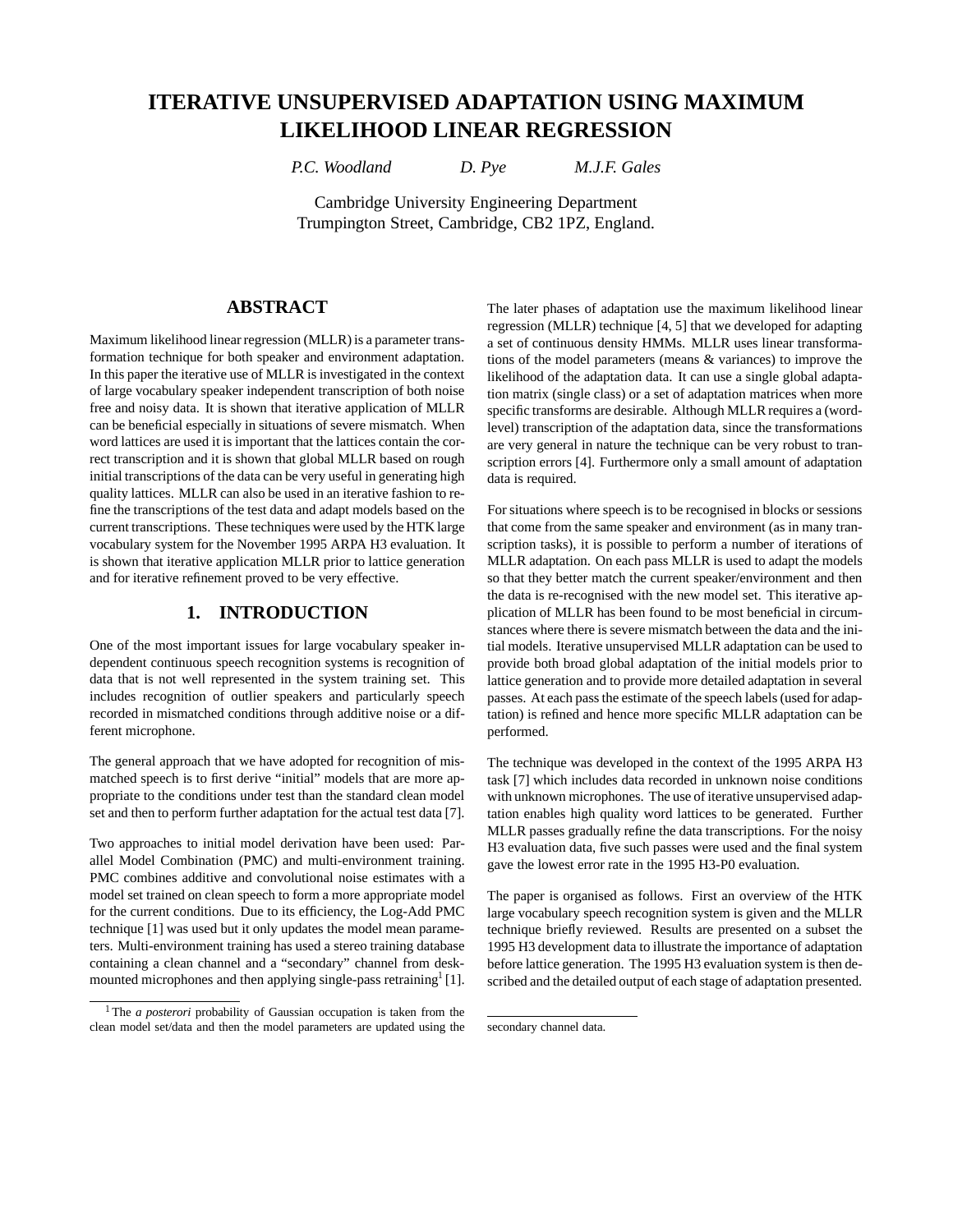# **ITERATIVE UNSUPERVISED ADAPTATION USING MAXIMUM LIKELIHOOD LINEAR REGRESSION**

*P.C. Woodland D. Pye M.J.F. Gales*

Cambridge University Engineering Department Trumpington Street, Cambridge, CB2 1PZ, England.

## **ABSTRACT**

Maximum likelihood linear regression (MLLR) is a parameter transformation technique for both speaker and environment adaptation. In this paper the iterative use of MLLR is investigated in the context of large vocabulary speaker independent transcription of both noise free and noisy data. It is shown that iterative application of MLLR can be beneficial especially in situations of severe mismatch. When word lattices are used it is important that the lattices contain the correct transcription and it is shown that global MLLR based on rough initial transcriptions of the data can be very useful in generating high quality lattices. MLLR can also be used in an iterative fashion to refine the transcriptions of the test data and adapt models based on the current transcriptions. These techniques were used by the HTK large vocabulary system for the November 1995 ARPA H3 evaluation. It is shown that iterative application MLLR prior to lattice generation and for iterative refinement proved to be very effective.

#### **1. INTRODUCTION**

One of the most important issues for large vocabulary speaker independent continuous speech recognition systems is recognition of data that is not well represented in the system training set. This includes recognition of outlier speakers and particularly speech recorded in mismatched conditions through additive noise or a different microphone.

The general approach that we have adopted for recognition of mismatched speech is to first derive "initial" models that are more appropriate to the conditions under test than the standard clean model set and then to perform further adaptation for the actual test data [7].

Two approaches to initial model derivation have been used: Parallel Model Combination (PMC) and multi-environment training. PMC combines additive and convolutional noise estimates with a model set trained on clean speech to form a more appropriate model for the current conditions. Due to its efficiency, the Log-Add PMC technique [1] was used but it only updates the model mean parameters. Multi-environment training has used a stereo training database containing a clean channel and a "secondary" channel from deskmounted microphones and then applying single-pass retraining [1].

The later phases of adaptation use the maximum likelihood linear regression (MLLR) technique [4, 5] that we developed for adapting a set of continuous density HMMs. MLLR uses linear transformations of the model parameters (means & variances) to improve the likelihood of the adaptation data. It can use a single global adaptation matrix (single class) or a set of adaptation matrices when more specific transforms are desirable. Although MLLR requires a (wordlevel) transcription of the adaptation data, since the transformations are very general in nature the technique can be very robust to transcription errors [4]. Furthermore only a small amount of adaptation data is required.

For situations where speech is to be recognised in blocks or sessions that come from the same speaker and environment (as in many transcription tasks), it is possible to perform a number of iterations of MLLR adaptation. On each pass MLLR is used to adapt the models so that they better match the current speaker/environment and then the data is re-recognised with the new model set. This iterative application of MLLR has been found to be most beneficial in circumstances where there is severe mismatch between the data and the initial models. Iterative unsupervised MLLR adaptation can be used to provide both broad global adaptation of the initial models prior to lattice generation and to provide more detailed adaptation in several passes. At each pass the estimate of the speech labels (used for adaptation) is refined and hence more specific MLLR adaptation can be performed.

The technique was developed in the context of the 1995 ARPA H3 task [7] which includes data recorded in unknown noise conditions with unknown microphones. The use of iterative unsupervised adaptation enables high quality word lattices to be generated. Further MLLR passes gradually refine the data transcriptions. For the noisy H3 evaluation data, five such passes were used and the final system gave the lowest error rate in the 1995 H3-P0 evaluation.

The paper is organised as follows. First an overview of the HTK large vocabulary speech recognition system is given and the MLLR technique briefly reviewed. Results are presented on a subset the 1995 H3 development data to illustrate the importance of adaptation before lattice generation. The 1995 H3 evaluation system is then described and the detailed output of each stage of adaptation presented.

<sup>&</sup>lt;sup>1</sup>The *a posterori* probability of Gaussian occupation is taken from the clean model set/data and then the model parameters are updated using the

secondary channel data.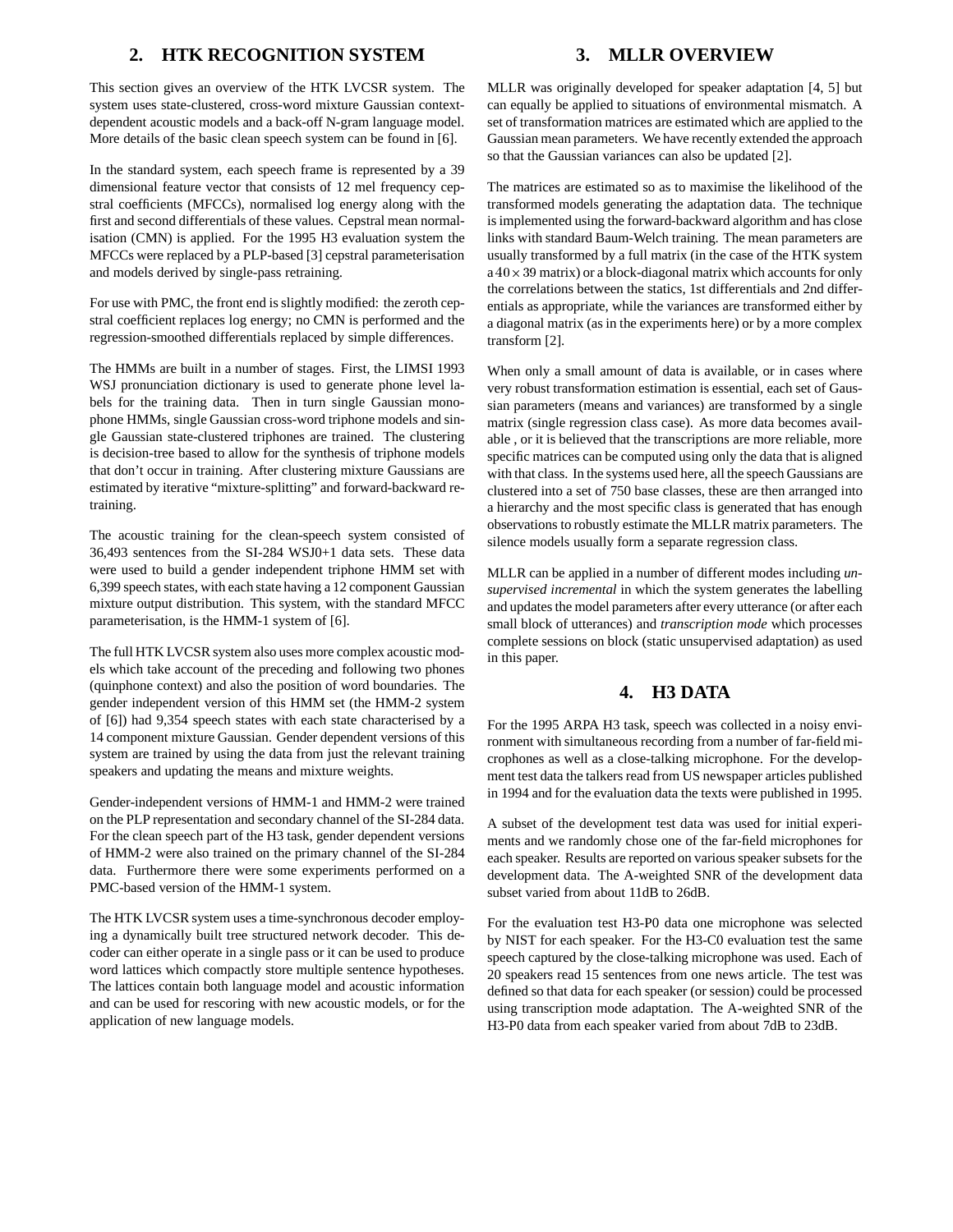## **2. HTK RECOGNITION SYSTEM**

This section gives an overview of the HTK LVCSR system. The system uses state-clustered, cross-word mixture Gaussian contextdependent acoustic models and a back-off N-gram language model. More details of the basic clean speech system can be found in [6].

In the standard system, each speech frame is represented by a 39 dimensional feature vector that consists of 12 mel frequency cepstral coefficients (MFCCs), normalised log energy along with the first and second differentials of these values. Cepstral mean normalisation (CMN) is applied. For the 1995 H3 evaluation system the MFCCs were replaced by a PLP-based [3] cepstral parameterisation and models derived by single-pass retraining.

For use with PMC, the front end is slightly modified: the zeroth cepstral coefficient replaces log energy; no CMN is performed and the regression-smoothed differentials replaced by simple differences.

The HMMs are built in a number of stages. First, the LIMSI 1993 WSJ pronunciation dictionary is used to generate phone level labels for the training data. Then in turn single Gaussian monophone HMMs, single Gaussian cross-word triphone models and single Gaussian state-clustered triphones are trained. The clustering is decision-tree based to allow for the synthesis of triphone models that don't occur in training. After clustering mixture Gaussians are estimated by iterative "mixture-splitting" and forward-backward retraining.

The acoustic training for the clean-speech system consisted of 36,493 sentences from the SI-284 WSJ0+1 data sets. These data were used to build a gender independent triphone HMM set with 6,399 speech states, with each state having a 12 component Gaussian mixture output distribution. This system, with the standard MFCC parameterisation, is the HMM-1 system of [6].

The full HTK LVCSR system also uses more complex acoustic models which take account of the preceding and following two phones (quinphone context) and also the position of word boundaries. The gender independent version of this HMM set (the HMM-2 system of [6]) had 9,354 speech states with each state characterised by a 14 component mixture Gaussian. Gender dependent versions of this system are trained by using the data from just the relevant training speakers and updating the means and mixture weights.

Gender-independent versions of HMM-1 and HMM-2 were trained on the PLP representation and secondary channel of the SI-284 data. For the clean speech part of the H3 task, gender dependent versions of HMM-2 were also trained on the primary channel of the SI-284 data. Furthermore there were some experiments performed on a PMC-based version of the HMM-1 system.

The HTK LVCSR system uses a time-synchronous decoder employing a dynamically built tree structured network decoder. This decoder can either operate in a single pass or it can be used to produce word lattices which compactly store multiple sentence hypotheses. The lattices contain both language model and acoustic information and can be used for rescoring with new acoustic models, or for the application of new language models.

MLLR was originally developed for speaker adaptation [4, 5] but can equally be applied to situations of environmental mismatch. A set of transformation matrices are estimated which are applied to the Gaussian mean parameters. We have recently extended the approach so that the Gaussian variances can also be updated [2].

The matrices are estimated so as to maximise the likelihood of the transformed models generating the adaptation data. The technique is implemented using the forward-backward algorithm and has close links with standard Baum-Welch training. The mean parameters are usually transformed by a full matrix (in the case of the HTK system  $a 40 \times 39$  matrix) or a block-diagonal matrix which accounts for only the correlations between the statics, 1st differentials and 2nd differentials as appropriate, while the variances are transformed either by a diagonal matrix (as in the experiments here) or by a more complex transform [2].

When only a small amount of data is available, or in cases where very robust transformation estimation is essential, each set of Gaussian parameters (means and variances) are transformed by a single matrix (single regression class case). As more data becomes available , or it is believed that the transcriptions are more reliable, more specific matrices can be computed using only the data that is aligned with that class. In the systems used here, all the speech Gaussians are clustered into a set of 750 base classes, these are then arranged into a hierarchy and the most specific class is generated that has enough observations to robustly estimate the MLLR matrix parameters. The silence models usually form a separate regression class.

MLLR can be applied in a number of different modes including *unsupervised incremental* in which the system generates the labelling and updates the model parameters after every utterance (or after each small block of utterances) and *transcription mode* which processes complete sessions on block (static unsupervised adaptation) as used in this paper.

#### **4. H3 DATA**

For the 1995 ARPA H3 task, speech was collected in a noisy environment with simultaneous recording from a number of far-field microphones as well as a close-talking microphone. For the development test data the talkers read from US newspaper articles published in 1994 and for the evaluation data the texts were published in 1995.

A subset of the development test data was used for initial experiments and we randomly chose one of the far-field microphones for each speaker. Results are reported on various speaker subsets for the development data. The A-weighted SNR of the development data subset varied from about 11dB to 26dB.

For the evaluation test H3-P0 data one microphone was selected by NIST for each speaker. For the H3-C0 evaluation test the same speech captured by the close-talking microphone was used. Each of 20 speakers read 15 sentences from one news article. The test was defined so that data for each speaker (or session) could be processed using transcription mode adaptation. The A-weighted SNR of the H3-P0 data from each speaker varied from about 7dB to 23dB.

#### **3. MLLR OVERVIEW**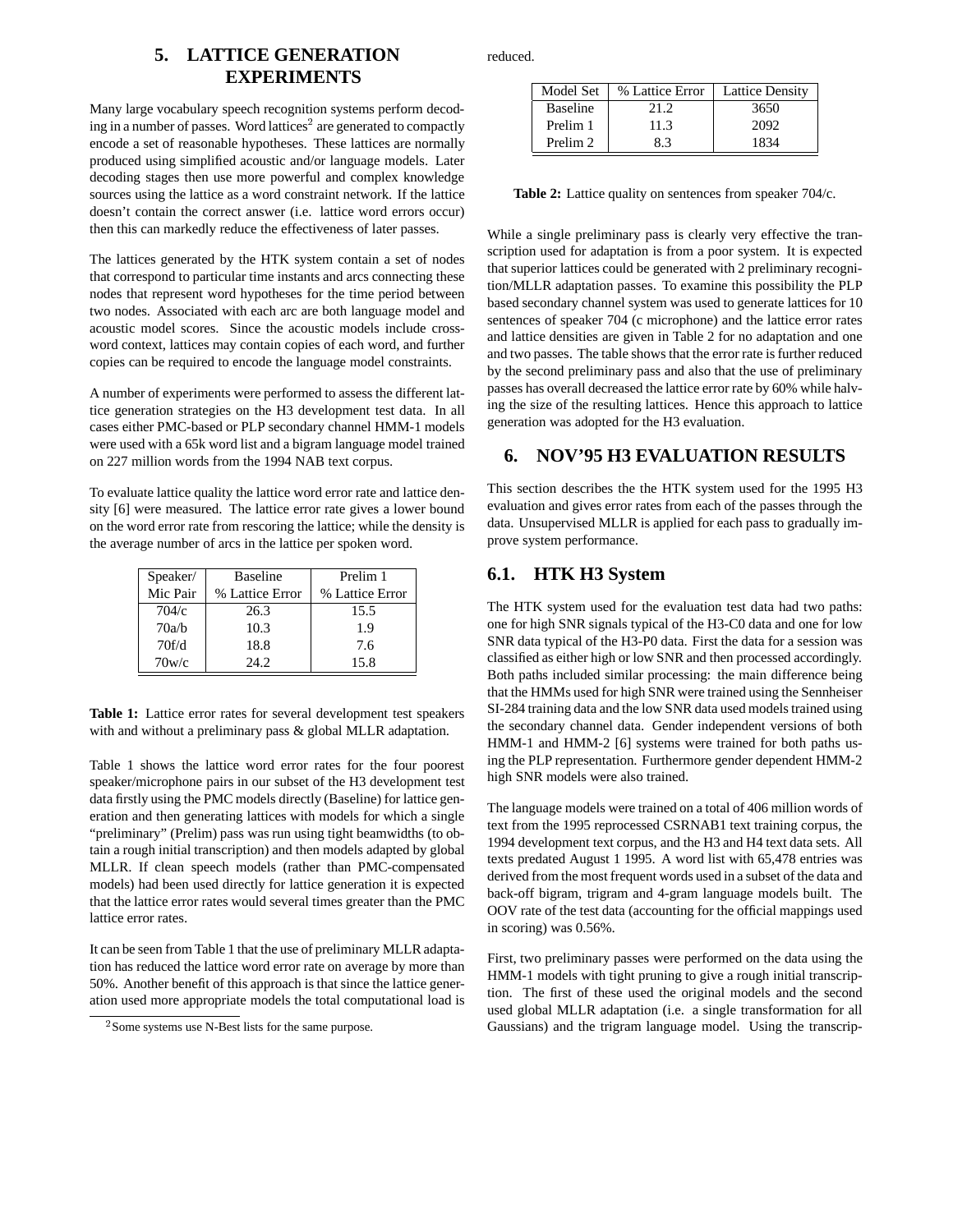## **5. LATTICE GENERATION EXPERIMENTS**

Many large vocabulary speech recognition systems perform decoding in a number of passes. Word lattices<sup>2</sup> are generated to compactly encode a set of reasonable hypotheses. These lattices are normally produced using simplified acoustic and/or language models. Later decoding stages then use more powerful and complex knowledge sources using the lattice as a word constraint network. If the lattice doesn't contain the correct answer (i.e. lattice word errors occur) then this can markedly reduce the effectiveness of later passes.

The lattices generated by the HTK system contain a set of nodes that correspond to particular time instants and arcs connecting these nodes that represent word hypotheses for the time period between two nodes. Associated with each arc are both language model and acoustic model scores. Since the acoustic models include crossword context, lattices may contain copies of each word, and further copies can be required to encode the language model constraints.

A number of experiments were performed to assess the different lattice generation strategies on the H3 development test data. In all cases either PMC-based or PLP secondary channel HMM-1 models were used with a 65k word list and a bigram language model trained on 227 million words from the 1994 NAB text corpus.

To evaluate lattice quality the lattice word error rate and lattice density [6] were measured. The lattice error rate gives a lower bound on the word error rate from rescoring the lattice; while the density is the average number of arcs in the lattice per spoken word.

| Speaker/ | <b>Baseline</b> | Prelim 1        |  |
|----------|-----------------|-----------------|--|
| Mic Pair | % Lattice Error | % Lattice Error |  |
| 704/c    | 26.3            | 15.5            |  |
| 70a/b    | 10.3            | 1.9             |  |
| 70f/d    | 18.8            | 7.6             |  |
| 70w/c    | 24.2            | 15.8            |  |

**Table 1:** Lattice error rates for several development test speakers with and without a preliminary pass & global MLLR adaptation.

Table 1 shows the lattice word error rates for the four poorest speaker/microphone pairs in our subset of the H3 development test data firstly using the PMC models directly (Baseline) for lattice generation and then generating lattices with models for which a single "preliminary" (Prelim) pass was run using tight beamwidths (to obtain a rough initial transcription) and then models adapted by global MLLR. If clean speech models (rather than PMC-compensated models) had been used directly for lattice generation it is expected that the lattice error rates would several times greater than the PMC lattice error rates.

It can be seen from Table 1 that the use of preliminary MLLR adaptation has reduced the lattice word error rate on average by more than 50%. Another benefit of this approach is that since the lattice generation used more appropriate models the total computational load is reduced.

| Model Set           | % Lattice Error | <b>Lattice Density</b> |
|---------------------|-----------------|------------------------|
| <b>Baseline</b>     | 21.2            | 3650                   |
| Prelim 1            | 11.3            | 2092                   |
| Prelim <sub>2</sub> | 83              | 1834                   |

**Table 2:** Lattice quality on sentences from speaker 704/c.

While a single preliminary pass is clearly very effective the transcription used for adaptation is from a poor system. It is expected that superior lattices could be generated with 2 preliminary recognition/MLLR adaptation passes. To examine this possibility the PLP based secondary channel system was used to generate lattices for 10 sentences of speaker 704 (c microphone) and the lattice error rates and lattice densities are given in Table 2 for no adaptation and one and two passes. The table shows that the error rate is further reduced by the second preliminary pass and also that the use of preliminary passes has overall decreased the lattice error rate by 60% while halving the size of the resulting lattices. Hence this approach to lattice generation was adopted for the H3 evaluation.

#### **6. NOV'95 H3 EVALUATION RESULTS**

This section describes the the HTK system used for the 1995 H3 evaluation and gives error rates from each of the passes through the data. Unsupervised MLLR is applied for each pass to gradually improve system performance.

## **6.1. HTK H3 System**

The HTK system used for the evaluation test data had two paths: one for high SNR signals typical of the H3-C0 data and one for low SNR data typical of the H3-P0 data. First the data for a session was classified as either high or low SNR and then processed accordingly. Both paths included similar processing: the main difference being that the HMMs used for high SNR were trained using the Sennheiser SI-284 training data and the low SNR data used models trained using the secondary channel data. Gender independent versions of both HMM-1 and HMM-2 [6] systems were trained for both paths using the PLP representation. Furthermore gender dependent HMM-2 high SNR models were also trained.

The language models were trained on a total of 406 million words of text from the 1995 reprocessed CSRNAB1 text training corpus, the 1994 development text corpus, and the H3 and H4 text data sets. All texts predated August 1 1995. A word list with 65,478 entries was derived from the most frequent words used in a subset of the data and back-off bigram, trigram and 4-gram language models built. The OOV rate of the test data (accounting for the official mappings used in scoring) was 0.56%.

First, two preliminary passes were performed on the data using the HMM-1 models with tight pruning to give a rough initial transcription. The first of these used the original models and the second used global MLLR adaptation (i.e. a single transformation for all Gaussians) and the trigram language model. Using the transcrip-

<sup>2</sup> Some systems use N-Best lists for the same purpose.